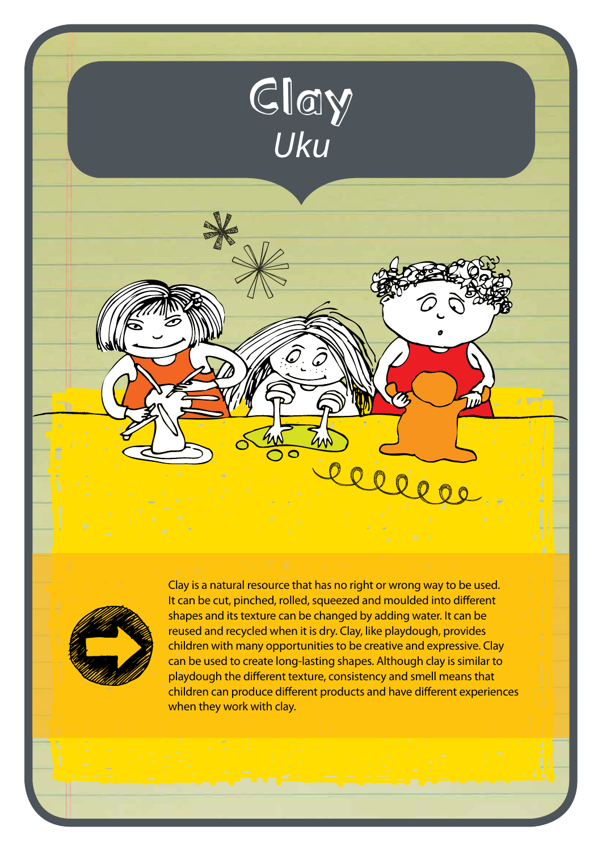



Clay is a natural resource that has no right or wrong way to be used. It can be cut, pinched, rolled, squeezed and moulded into different shapes and its texture can be changed by adding water. It can be reused and recycled when it is dry. Clay, like playdough, provides children with many opportunities to be creative and expressive. Clay can be used to create long-lasting shapes. Although clay is similar to playdough the different texture, consistency and smell means that children can produce different products and have different experiences when they work with clay.